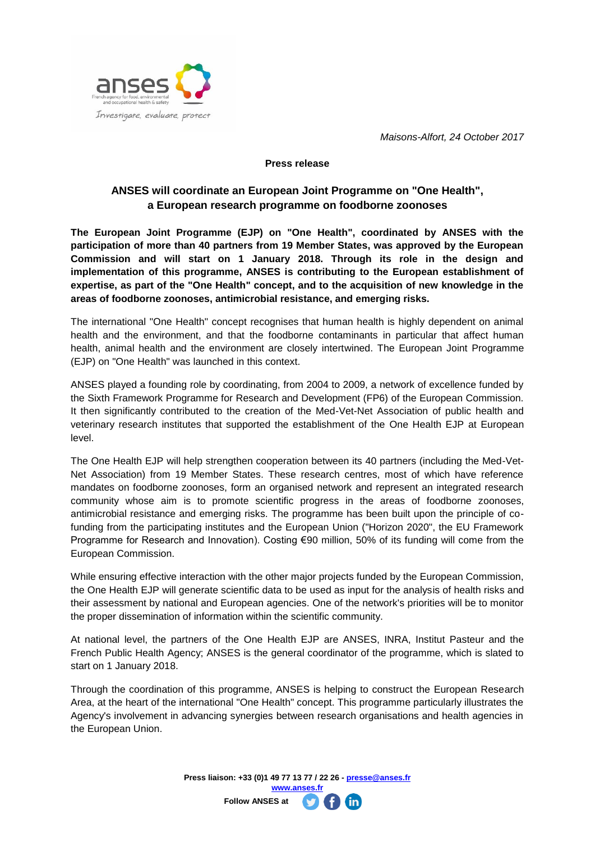

*Maisons-Alfort, 24 October 2017* 

## **Press release**

## **ANSES will coordinate an European Joint Programme on "One Health", a European research programme on foodborne zoonoses**

**The European Joint Programme (EJP) on "One Health", coordinated by ANSES with the participation of more than 40 partners from 19 Member States, was approved by the European Commission and will start on 1 January 2018. Through its role in the design and implementation of this programme, ANSES is contributing to the European establishment of expertise, as part of the "One Health" concept, and to the acquisition of new knowledge in the areas of foodborne zoonoses, antimicrobial resistance, and emerging risks.** 

The international "One Health" concept recognises that human health is highly dependent on animal health and the environment, and that the foodborne contaminants in particular that affect human health, animal health and the environment are closely intertwined. The European Joint Programme (EJP) on "One Health" was launched in this context.

ANSES played a founding role by coordinating, from 2004 to 2009, a network of excellence funded by the Sixth Framework Programme for Research and Development (FP6) of the European Commission. It then significantly contributed to the creation of the Med-Vet-Net Association of public health and veterinary research institutes that supported the establishment of the One Health EJP at European level.

The One Health EJP will help strengthen cooperation between its 40 partners (including the Med-Vet-Net Association) from 19 Member States. These research centres, most of which have reference mandates on foodborne zoonoses, form an organised network and represent an integrated research community whose aim is to promote scientific progress in the areas of foodborne zoonoses, antimicrobial resistance and emerging risks. The programme has been built upon the principle of cofunding from the participating institutes and the European Union ("Horizon 2020", the EU Framework Programme for Research and Innovation). Costing €90 million, 50% of its funding will come from the European Commission.

While ensuring effective interaction with the other major projects funded by the European Commission, the One Health EJP will generate scientific data to be used as input for the analysis of health risks and their assessment by national and European agencies. One of the network's priorities will be to monitor the proper dissemination of information within the scientific community.

At national level, the partners of the One Health EJP are ANSES, INRA, Institut Pasteur and the French Public Health Agency; ANSES is the general coordinator of the programme, which is slated to start on 1 January 2018.

Through the coordination of this programme, ANSES is helping to construct the European Research Area, at the heart of the international "One Health" concept. This programme particularly illustrates the Agency's involvement in advancing synergies between research organisations and health agencies in the European Union.

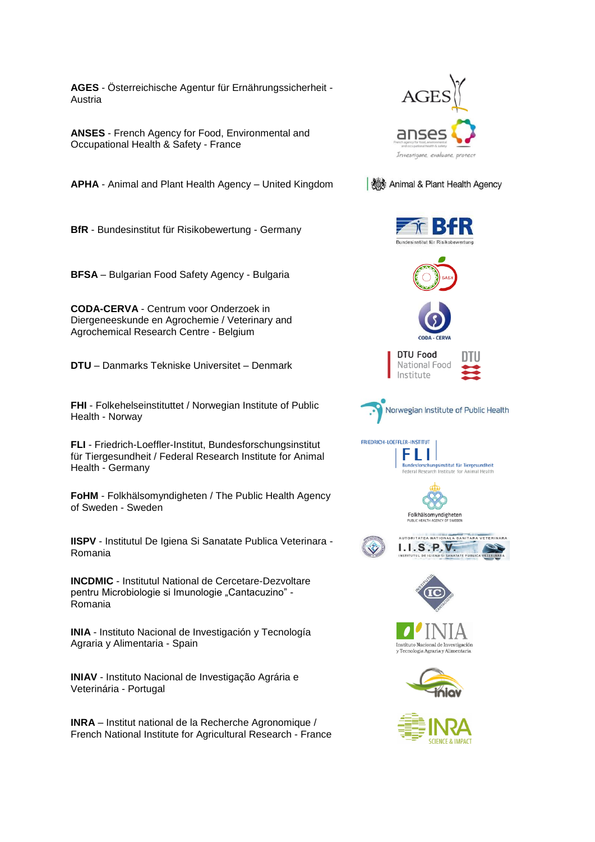**AGES** - Österreichische Agentur für Ernährungssicherheit - Austria

**ANSES** - French Agency for Food, Environmental and Occupational Health & Safety - France

**APHA** - Animal and Plant Health Agency – United Kingdom

**BfR** - Bundesinstitut für Risikobewertung - Germany

**BFSA** – Bulgarian Food Safety Agency - Bulgaria

**CODA-CERVA** - Centrum voor Onderzoek in Diergeneeskunde en Agrochemie / Veterinary and Agrochemical Research Centre - Belgium

**DTU** – Danmarks Tekniske Universitet – Denmark

**FHI** - Folkehelseinstituttet / Norwegian Institute of Public Health - Norway

**FLI** - Friedrich-Loeffler-Institut, Bundesforschungsinstitut für Tiergesundheit / Federal Research Institute for Animal Health - Germany

**FoHM** - Folkhälsomyndigheten / The Public Health Agency of Sweden - Sweden

**IISPV** - Institutul De Igiena Si Sanatate Publica Veterinara - Romania

**INCDMIC** - Institutul National de Cercetare-Dezvoltare pentru Microbiologie si Imunologie "Cantacuzino" -Romania

**INIA** - Instituto Nacional de Investigación y Tecnología Agraria y Alimentaria - Spain

**INIAV** - Instituto Nacional de Investigação Agrária e Veterinária - Portugal

**INRA** – Institut national de la Recherche Agronomique / French National Institute for Agricultural Research - France



Animal & Plant Health Agency



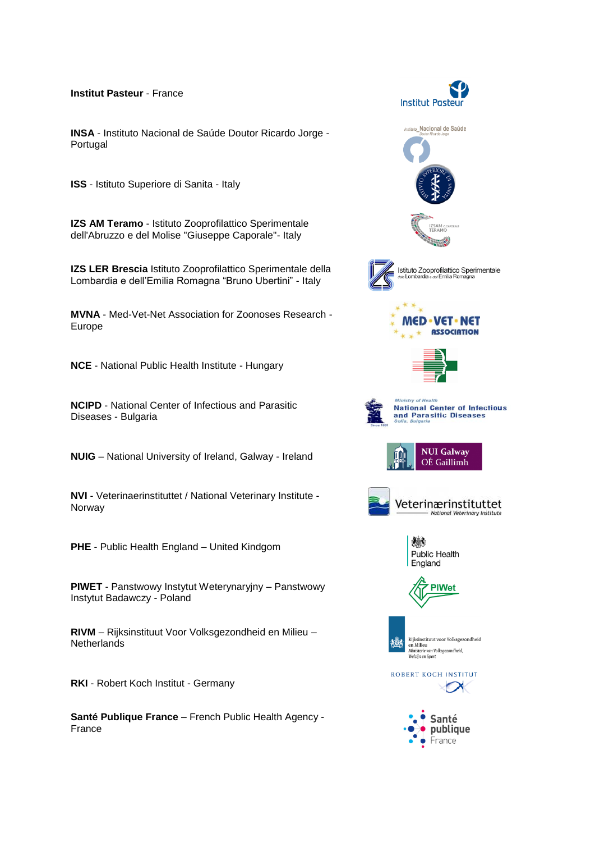**Institut Pasteur** - France

**INSA** - Instituto Nacional de Saúde Doutor Ricardo Jorge - Portugal

**ISS** - Istituto Superiore di Sanita - Italy

**IZS AM Teramo** - Istituto Zooprofilattico Sperimentale dell'Abruzzo e del Molise "Giuseppe Caporale"- Italy

**IZS LER Brescia** Istituto Zooprofilattico Sperimentale della Lombardia e dell'Emilia Romagna "Bruno Ubertini" - Italy

**MVNA** - Med-Vet-Net Association for Zoonoses Research - Europe

**NCE** - National Public Health Institute - Hungary

**NCIPD** - National Center of Infectious and Parasitic Diseases - Bulgaria

**NUIG** – National University of Ireland, Galway - Ireland

**NVI** - Veterinaerinstituttet / National Veterinary Institute - Norway

**PHE** - Public Health England – United Kindgom

**PIWET** - Panstwowy Instytut Weterynaryjny – Panstwowy Instytut Badawczy - Poland

**RIVM** – Rijksinstituut Voor Volksgezondheid en Milieu – Netherlands

**RKI** - Robert Koch Institut - Germany

**Santé Publique France** – French Public Health Agency - France